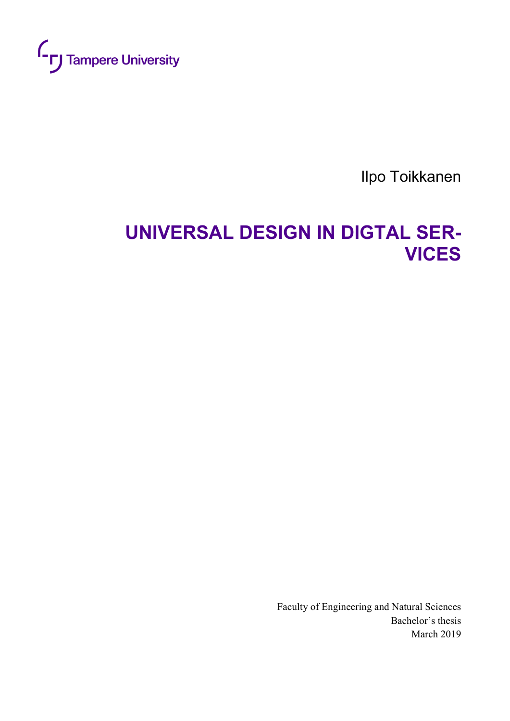

Ilpo Toikkanen

# **UNIVERSAL DESIGN IN DIGTAL SER-VICES**

Faculty of Engineering and Natural Sciences Bachelor's thesis March 2019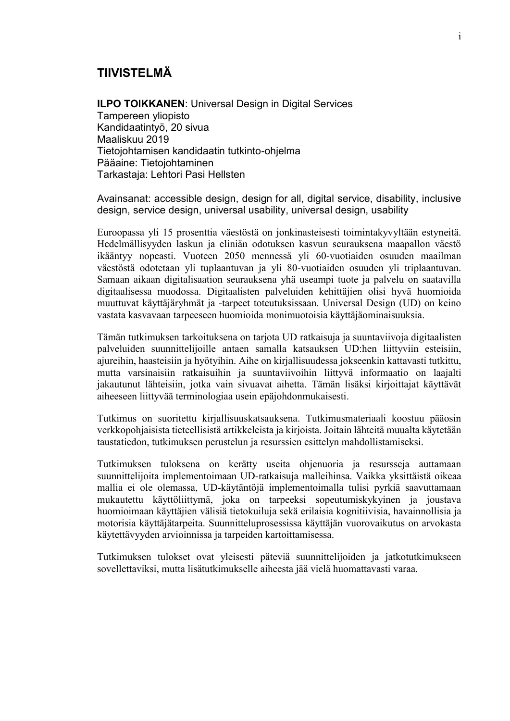#### **TIIVISTELMÄ**

**ILPO TOIKKANEN**: Universal Design in Digital Services Tampereen yliopisto Kandidaatintyö, 20 sivua Maaliskuu 2019 Tietojohtamisen kandidaatin tutkinto-ohjelma Pääaine: Tietojohtaminen Tarkastaja: Lehtori Pasi Hellsten

Avainsanat: accessible design, design for all, digital service, disability, inclusive design, service design, universal usability, universal design, usability

Euroopassa yli 15 prosenttia väestöstä on jonkinasteisesti toimintakyvyltään estyneitä. Hedelmällisyyden laskun ja eliniän odotuksen kasvun seurauksena maapallon väestö ikääntyy nopeasti. Vuoteen 2050 mennessä yli 60-vuotiaiden osuuden maailman väestöstä odotetaan yli tuplaantuvan ja yli 80-vuotiaiden osuuden yli triplaantuvan. Samaan aikaan digitalisaation seurauksena yhä useampi tuote ja palvelu on saatavilla digitaalisessa muodossa. Digitaalisten palveluiden kehittäjien olisi hyvä huomioida muuttuvat käyttäjäryhmät ja -tarpeet toteutuksissaan. Universal Design (UD) on keino vastata kasvavaan tarpeeseen huomioida monimuotoisia käyttäjäominaisuuksia.

Tämän tutkimuksen tarkoituksena on tarjota UD ratkaisuja ja suuntaviivoja digitaalisten palveluiden suunnittelijoille antaen samalla katsauksen UD:hen liittyviin esteisiin, ajureihin, haasteisiin ja hyötyihin. Aihe on kirjallisuudessa jokseenkin kattavasti tutkittu, mutta varsinaisiin ratkaisuihin ja suuntaviivoihin liittyvä informaatio on laajalti jakautunut lähteisiin, jotka vain sivuavat aihetta. Tämän lisäksi kirjoittajat käyttävät aiheeseen liittyvää terminologiaa usein epäjohdonmukaisesti.

Tutkimus on suoritettu kirjallisuuskatsauksena. Tutkimusmateriaali koostuu pääosin verkkopohjaisista tieteellisistä artikkeleista ja kirjoista. Joitain lähteitä muualta käytetään taustatiedon, tutkimuksen perustelun ja resurssien esittelyn mahdollistamiseksi.

Tutkimuksen tuloksena on kerätty useita ohjenuoria ja resursseja auttamaan suunnittelijoita implementoimaan UD-ratkaisuja malleihinsa. Vaikka yksittäistä oikeaa mallia ei ole olemassa, UD-käytäntöjä implementoimalla tulisi pyrkiä saavuttamaan mukautettu käyttöliittymä, joka on tarpeeksi sopeutumiskykyinen ja joustava huomioimaan käyttäjien välisiä tietokuiluja sekä erilaisia kognitiivisia, havainnollisia ja motorisia käyttäjätarpeita. Suunnitteluprosessissa käyttäjän vuorovaikutus on arvokasta käytettävyyden arvioinnissa ja tarpeiden kartoittamisessa.

Tutkimuksen tulokset ovat yleisesti päteviä suunnittelijoiden ja jatkotutkimukseen sovellettaviksi, mutta lisätutkimukselle aiheesta jää vielä huomattavasti varaa.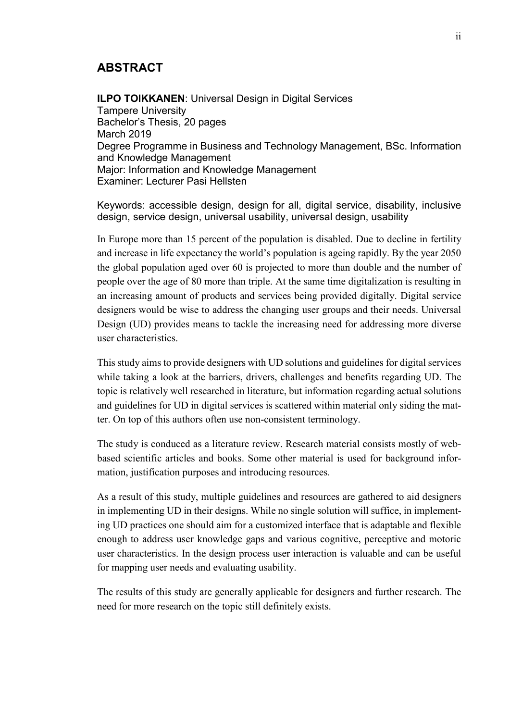### **ABSTRACT**

**ILPO TOIKKANEN: Universal Design in Digital Services** Tampere University Bachelor's Thesis, 20 pages March 2019 Degree Programme in Business and Technology Management, BSc. Information and Knowledge Management Major: Information and Knowledge Management Examiner: Lecturer Pasi Hellsten

Keywords: accessible design, design for all, digital service, disability, inclusive design, service design, universal usability, universal design, usability

In Europe more than 15 percent of the population is disabled. Due to decline in fertility and increase in life expectancy the world's population is ageing rapidly. By the year 2050 the global population aged over 60 is projected to more than double and the number of people over the age of 80 more than triple. At the same time digitalization is resulting in an increasing amount of products and services being provided digitally. Digital service designers would be wise to address the changing user groups and their needs. Universal Design (UD) provides means to tackle the increasing need for addressing more diverse user characteristics.

This study aims to provide designers with UD solutions and guidelines for digital services while taking a look at the barriers, drivers, challenges and benefits regarding UD. The topic is relatively well researched in literature, but information regarding actual solutions and guidelines for UD in digital services is scattered within material only siding the matter. On top of this authors often use non-consistent terminology.

The study is conduced as a literature review. Research material consists mostly of webbased scientific articles and books. Some other material is used for background information, justification purposes and introducing resources.

As a result of this study, multiple guidelines and resources are gathered to aid designers in implementing UD in their designs. While no single solution will suffice, in implementing UD practices one should aim for a customized interface that is adaptable and flexible enough to address user knowledge gaps and various cognitive, perceptive and motoric user characteristics. In the design process user interaction is valuable and can be useful for mapping user needs and evaluating usability.

The results of this study are generally applicable for designers and further research. The need for more research on the topic still definitely exists.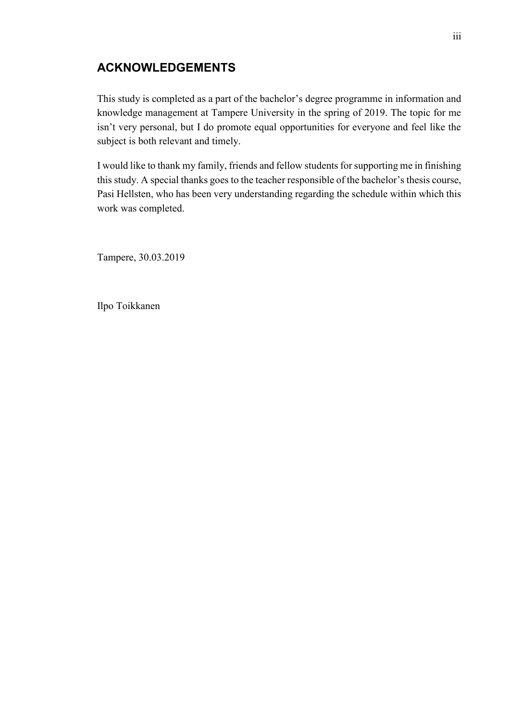## **ACKNOWLEDGEMENTS**

This study is completed as a part of the bachelor's degree programme in information and knowledge management at Tampere University in the spring of 2019. The topic for me isn't very personal, but I do promote equal opportunities for everyone and feel like the subject is both relevant and timely.

I would like to thank my family, friends and fellow students for supporting me in finishing this study. A special thanks goes to the teacher responsible of the bachelor's thesis course, Pasi Hellsten, who has been very understanding regarding the schedule within which this work was completed.

Tampere, 30.03.2019

Ilpo Toikkanen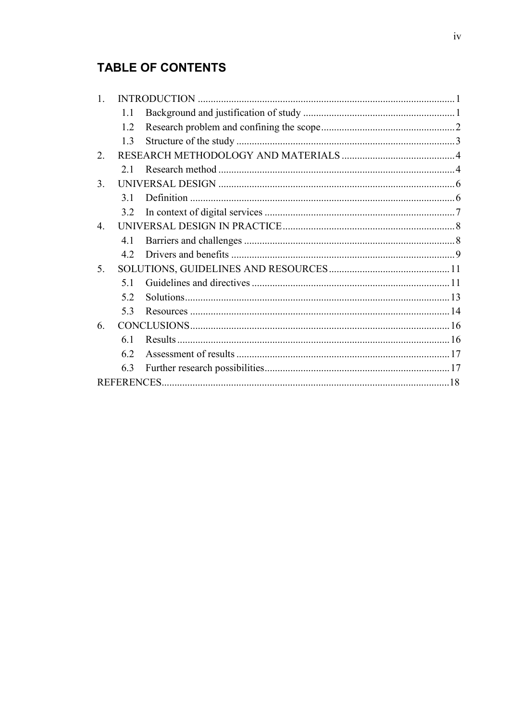# **TABLE OF CONTENTS**

| 1.1 |  |
|-----|--|
| 1.2 |  |
| 1.3 |  |
|     |  |
| 2.1 |  |
|     |  |
| 3.1 |  |
| 3.2 |  |
|     |  |
| 4.1 |  |
| 4.2 |  |
|     |  |
| 5.1 |  |
| 5.2 |  |
| 5.3 |  |
|     |  |
| 6.1 |  |
| 6.2 |  |
| 6.3 |  |
|     |  |
|     |  |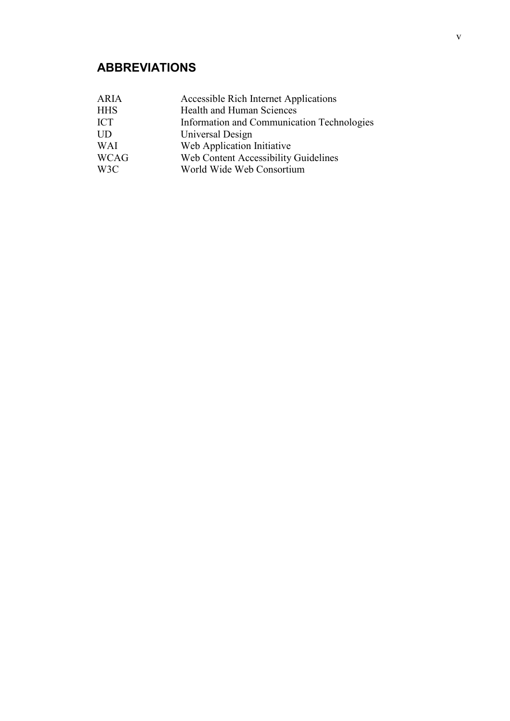# **ABBREVIATIONS**

| <b>ARIA</b> | <b>Accessible Rich Internet Applications</b> |
|-------------|----------------------------------------------|
| <b>HHS</b>  | Health and Human Sciences                    |
| <b>ICT</b>  | Information and Communication Technologies   |
| <b>UD</b>   | Universal Design                             |
| <b>WAI</b>  | Web Application Initiative                   |
| <b>WCAG</b> | Web Content Accessibility Guidelines         |
| W3C         | World Wide Web Consortium                    |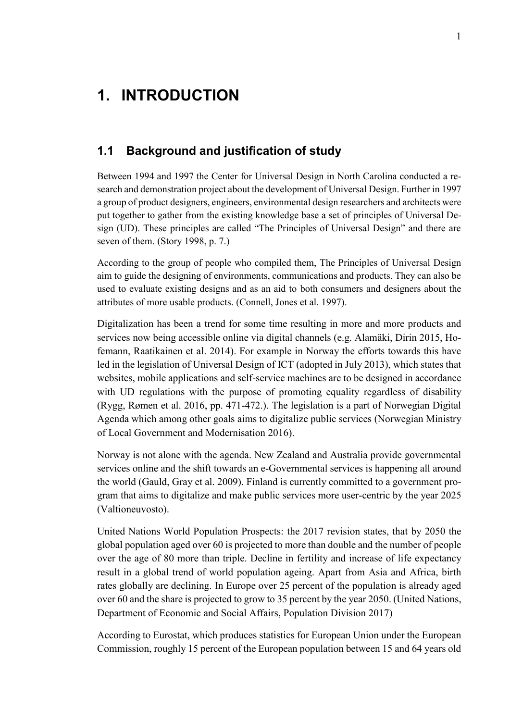# <span id="page-6-0"></span>**1. INTRODUCTION**

### <span id="page-6-1"></span>**1.1 Background and justification of study**

Between 1994 and 1997 the Center for Universal Design in North Carolina conducted a research and demonstration project about the development of Universal Design. Further in 1997 a group of product designers, engineers, environmental design researchers and architects were put together to gather from the existing knowledge base a set of principles of Universal Design (UD). These principles are called "The Principles of Universal Design" and there are seven of them. (Story 1998, p. 7.)

According to the group of people who compiled them, The Principles of Universal Design aim to guide the designing of environments, communications and products. They can also be used to evaluate existing designs and as an aid to both consumers and designers about the attributes of more usable products. (Connell, Jones et al. 1997).

Digitalization has been a trend for some time resulting in more and more products and services now being accessible online via digital channels (e.g. Alamäki, Dirin 2015, Hofemann, Raatikainen et al. 2014). For example in Norway the efforts towards this have led in the legislation of Universal Design of ICT (adopted in July 2013), which states that websites, mobile applications and self-service machines are to be designed in accordance with UD regulations with the purpose of promoting equality regardless of disability (Rygg, Rømen et al. 2016, pp. 471-472.). The legislation is a part of Norwegian Digital Agenda which among other goals aims to digitalize public services (Norwegian Ministry of Local Government and Modernisation 2016).

Norway is not alone with the agenda. New Zealand and Australia provide governmental services online and the shift towards an e-Governmental services is happening all around the world (Gauld, Gray et al. 2009). Finland is currently committed to a government program that aims to digitalize and make public services more user-centric by the year 2025 (Valtioneuvosto).

United Nations World Population Prospects: the 2017 revision states, that by 2050 the global population aged over 60 is projected to more than double and the number of people over the age of 80 more than triple. Decline in fertility and increase of life expectancy result in a global trend of world population ageing. Apart from Asia and Africa, birth rates globally are declining. In Europe over 25 percent of the population is already aged over 60 and the share is projected to grow to 35 percent by the year 2050. (United Nations, Department of Economic and Social Affairs, Population Division 2017)

According to Eurostat, which produces statistics for European Union under the European Commission, roughly 15 percent of the European population between 15 and 64 years old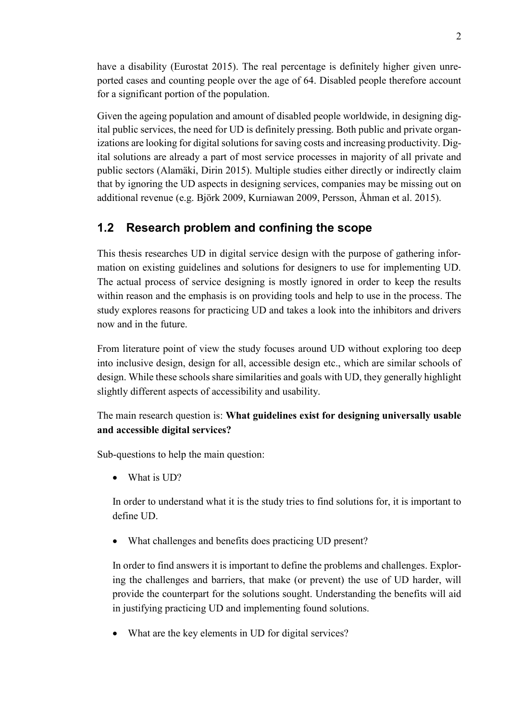have a disability (Eurostat 2015). The real percentage is definitely higher given unreported cases and counting people over the age of 64. Disabled people therefore account for a significant portion of the population.

Given the ageing population and amount of disabled people worldwide, in designing digital public services, the need for UD is definitely pressing. Both public and private organizations are looking for digital solutions for saving costs and increasing productivity. Digital solutions are already a part of most service processes in majority of all private and public sectors (Alamäki, Dirin 2015). Multiple studies either directly or indirectly claim that by ignoring the UD aspects in designing services, companies may be missing out on additional revenue (e.g. Björk 2009, Kurniawan 2009, Persson, Åhman et al. 2015).

## <span id="page-7-0"></span>**1.2 Research problem and confining the scope**

This thesis researches UD in digital service design with the purpose of gathering information on existing guidelines and solutions for designers to use for implementing UD. The actual process of service designing is mostly ignored in order to keep the results within reason and the emphasis is on providing tools and help to use in the process. The study explores reasons for practicing UD and takes a look into the inhibitors and drivers now and in the future.

From literature point of view the study focuses around UD without exploring too deep into inclusive design, design for all, accessible design etc., which are similar schools of design. While these schools share similarities and goals with UD, they generally highlight slightly different aspects of accessibility and usability.

#### The main research question is: **What guidelines exist for designing universally usable and accessible digital services?**

Sub-questions to help the main question:

What is UD?

In order to understand what it is the study tries to find solutions for, it is important to define UD.

What challenges and benefits does practicing UD present?

In order to find answers it is important to define the problems and challenges. Exploring the challenges and barriers, that make (or prevent) the use of UD harder, will provide the counterpart for the solutions sought. Understanding the benefits will aid in justifying practicing UD and implementing found solutions.

What are the key elements in UD for digital services?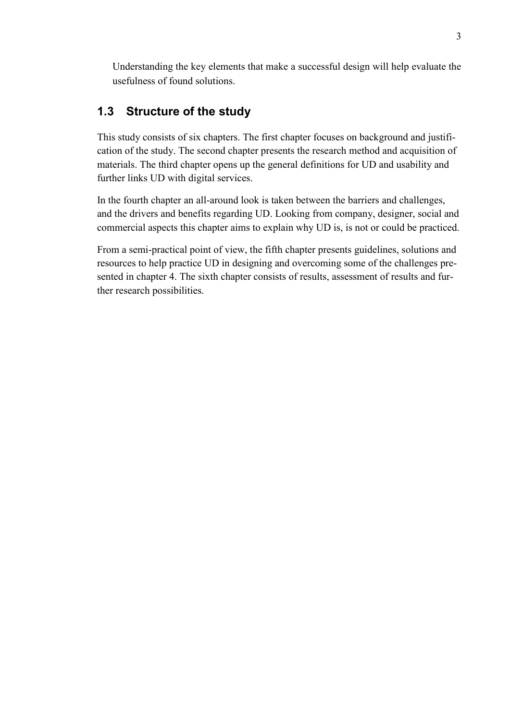Understanding the key elements that make a successful design will help evaluate the usefulness of found solutions.

## <span id="page-8-0"></span>**1.3 Structure of the study**

This study consists of six chapters. The first chapter focuses on background and justification of the study. The second chapter presents the research method and acquisition of materials. The third chapter opens up the general definitions for UD and usability and further links UD with digital services.

In the fourth chapter an all-around look is taken between the barriers and challenges, and the drivers and benefits regarding UD. Looking from company, designer, social and commercial aspects this chapter aims to explain why UD is, is not or could be practiced.

From a semi-practical point of view, the fifth chapter presents guidelines, solutions and resources to help practice UD in designing and overcoming some of the challenges presented in chapter 4. The sixth chapter consists of results, assessment of results and further research possibilities.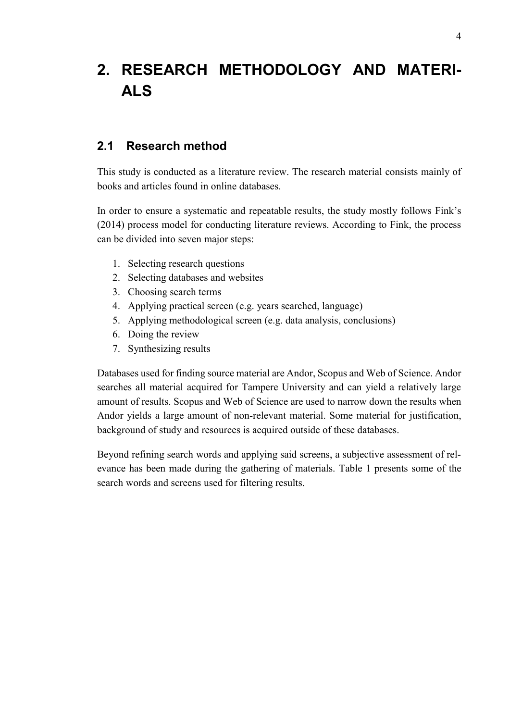# <span id="page-9-0"></span>**2. RESEARCH METHODOLOGY AND MATERI-ALS**

### <span id="page-9-1"></span>**2.1 Research method**

This study is conducted as a literature review. The research material consists mainly of books and articles found in online databases.

In order to ensure a systematic and repeatable results, the study mostly follows Fink's (2014) process model for conducting literature reviews. According to Fink, the process can be divided into seven major steps:

- 1. Selecting research questions
- 2. Selecting databases and websites
- 3. Choosing search terms
- 4. Applying practical screen (e.g. years searched, language)
- 5. Applying methodological screen (e.g. data analysis, conclusions)
- 6. Doing the review
- 7. Synthesizing results

Databases used for finding source material are Andor, Scopus and Web of Science. Andor searches all material acquired for Tampere University and can yield a relatively large amount of results. Scopus and Web of Science are used to narrow down the results when Andor yields a large amount of non-relevant material. Some material for justification, background of study and resources is acquired outside of these databases.

Beyond refining search words and applying said screens, a subjective assessment of relevance has been made during the gathering of materials. Table 1 presents some of the search words and screens used for filtering results.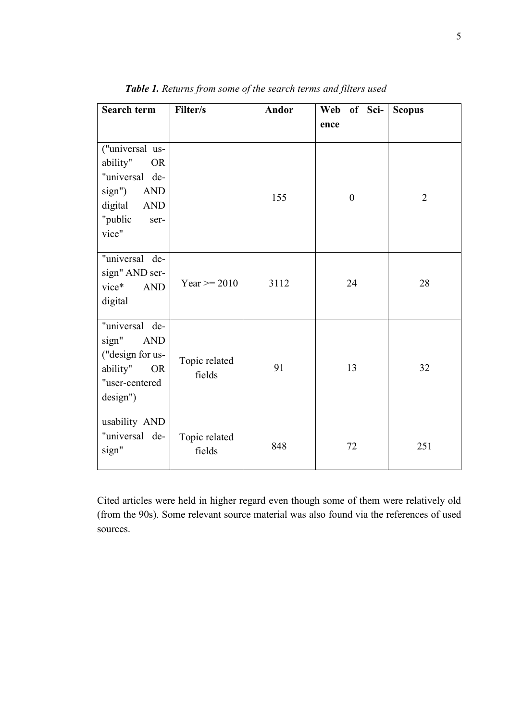| Search term                                                                                                                      | Filter/s                | Andor | of Sci-<br>Web<br>ence | <b>Scopus</b>  |
|----------------------------------------------------------------------------------------------------------------------------------|-------------------------|-------|------------------------|----------------|
|                                                                                                                                  |                         |       |                        |                |
| ("universal us-<br>ability"<br><b>OR</b><br>"universal de-<br>sign")<br><b>AND</b><br>digital<br>AND<br>"public<br>ser-<br>vice" |                         | 155   | $\boldsymbol{0}$       | $\overline{2}$ |
| "universal de-<br>sign" AND ser-<br>vice*<br>$\mbox{{\sc And}}$<br>digital                                                       | Year $>= 2010$          | 3112  | 24                     | 28             |
| "universal de-<br>sign"<br><b>AND</b><br>("design for us-<br>ability"<br><b>OR</b><br>"user-centered<br>design")                 | Topic related<br>fields | 91    | 13                     | 32             |
| usability AND<br>"universal de-<br>sign"                                                                                         | Topic related<br>fields | 848   | 72                     | 251            |

*Table 1. Returns from some of the search terms and filters used*

Cited articles were held in higher regard even though some of them were relatively old (from the 90s). Some relevant source material was also found via the references of used sources.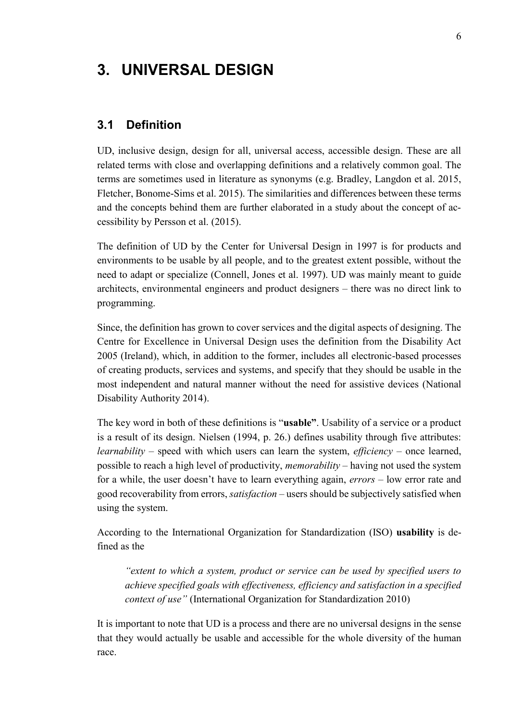# <span id="page-11-0"></span>**3. UNIVERSAL DESIGN**

#### <span id="page-11-1"></span>**3.1 Definition**

UD, inclusive design, design for all, universal access, accessible design. These are all related terms with close and overlapping definitions and a relatively common goal. The terms are sometimes used in literature as synonyms (e.g. Bradley, Langdon et al. 2015, Fletcher, Bonome-Sims et al. 2015). The similarities and differences between these terms and the concepts behind them are further elaborated in a study about the concept of accessibility by Persson et al. (2015).

The definition of UD by the Center for Universal Design in 1997 is for products and environments to be usable by all people, and to the greatest extent possible, without the need to adapt or specialize (Connell, Jones et al. 1997). UD was mainly meant to guide architects, environmental engineers and product designers – there was no direct link to programming.

Since, the definition has grown to cover services and the digital aspects of designing. The Centre for Excellence in Universal Design uses the definition from the Disability Act 2005 (Ireland), which, in addition to the former, includes all electronic-based processes of creating products, services and systems, and specify that they should be usable in the most independent and natural manner without the need for assistive devices (National Disability Authority 2014).

The key word in both of these definitions is "**usable"**. Usability of a service or a product is a result of its design. Nielsen (1994, p. 26.) defines usability through five attributes: *learnability* – speed with which users can learn the system, *efficiency* – once learned, possible to reach a high level of productivity, *memorability* – having not used the system for a while, the user doesn't have to learn everything again, *errors* – low error rate and good recoverability from errors, *satisfaction* – users should be subjectively satisfied when using the system.

According to the International Organization for Standardization (ISO) **usability** is defined as the

*"extent to which a system, product or service can be used by specified users to achieve specified goals with effectiveness, efficiency and satisfaction in a specified context of use"* (International Organization for Standardization 2010)

It is important to note that UD is a process and there are no universal designs in the sense that they would actually be usable and accessible for the whole diversity of the human race.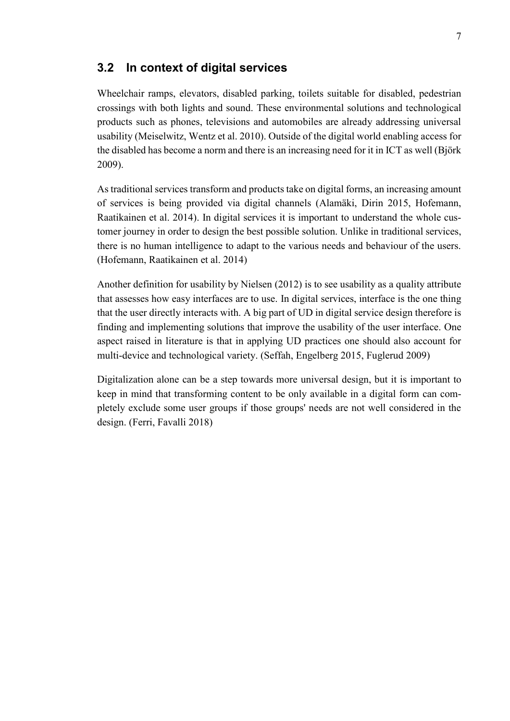#### <span id="page-12-0"></span>**3.2 In context of digital services**

Wheelchair ramps, elevators, disabled parking, toilets suitable for disabled, pedestrian crossings with both lights and sound. These environmental solutions and technological products such as phones, televisions and automobiles are already addressing universal usability (Meiselwitz, Wentz et al. 2010). Outside of the digital world enabling access for the disabled has become a norm and there is an increasing need for it in ICT as well (Björk 2009).

As traditional services transform and products take on digital forms, an increasing amount of services is being provided via digital channels (Alamäki, Dirin 2015, Hofemann, Raatikainen et al. 2014). In digital services it is important to understand the whole customer journey in order to design the best possible solution. Unlike in traditional services, there is no human intelligence to adapt to the various needs and behaviour of the users. (Hofemann, Raatikainen et al. 2014)

Another definition for usability by Nielsen (2012) is to see usability as a quality attribute that assesses how easy interfaces are to use. In digital services, interface is the one thing that the user directly interacts with. A big part of UD in digital service design therefore is finding and implementing solutions that improve the usability of the user interface. One aspect raised in literature is that in applying UD practices one should also account for multi-device and technological variety. (Seffah, Engelberg 2015, Fuglerud 2009)

Digitalization alone can be a step towards more universal design, but it is important to keep in mind that transforming content to be only available in a digital form can completely exclude some user groups if those groups' needs are not well considered in the design. (Ferri, Favalli 2018)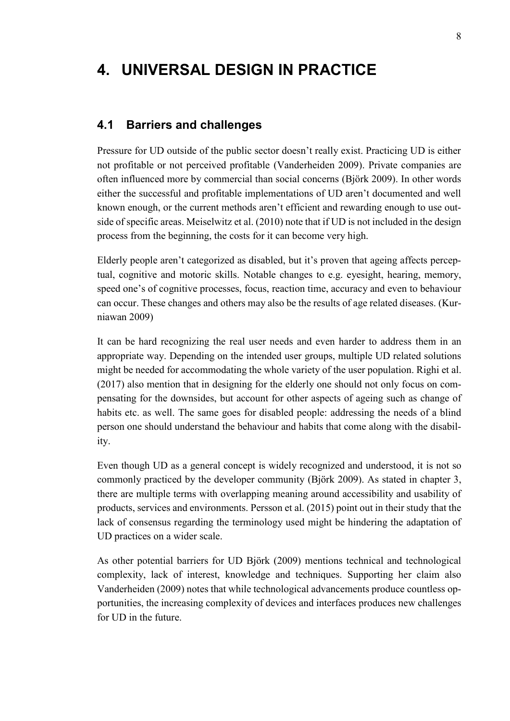# <span id="page-13-0"></span>**4. UNIVERSAL DESIGN IN PRACTICE**

#### <span id="page-13-1"></span>**4.1 Barriers and challenges**

Pressure for UD outside of the public sector doesn't really exist. Practicing UD is either not profitable or not perceived profitable (Vanderheiden 2009). Private companies are often influenced more by commercial than social concerns (Björk 2009). In other words either the successful and profitable implementations of UD aren't documented and well known enough, or the current methods aren't efficient and rewarding enough to use outside of specific areas. Meiselwitz et al. (2010) note that if UD is not included in the design process from the beginning, the costs for it can become very high.

Elderly people aren't categorized as disabled, but it's proven that ageing affects perceptual, cognitive and motoric skills. Notable changes to e.g. eyesight, hearing, memory, speed one's of cognitive processes, focus, reaction time, accuracy and even to behaviour can occur. These changes and others may also be the results of age related diseases. (Kurniawan 2009)

It can be hard recognizing the real user needs and even harder to address them in an appropriate way. Depending on the intended user groups, multiple UD related solutions might be needed for accommodating the whole variety of the user population. Righi et al. (2017) also mention that in designing for the elderly one should not only focus on compensating for the downsides, but account for other aspects of ageing such as change of habits etc. as well. The same goes for disabled people: addressing the needs of a blind person one should understand the behaviour and habits that come along with the disability.

Even though UD as a general concept is widely recognized and understood, it is not so commonly practiced by the developer community (Björk 2009). As stated in chapter 3, there are multiple terms with overlapping meaning around accessibility and usability of products, services and environments. Persson et al. (2015) point out in their study that the lack of consensus regarding the terminology used might be hindering the adaptation of UD practices on a wider scale.

As other potential barriers for UD Björk (2009) mentions technical and technological complexity, lack of interest, knowledge and techniques. Supporting her claim also Vanderheiden (2009) notes that while technological advancements produce countless opportunities, the increasing complexity of devices and interfaces produces new challenges for UD in the future.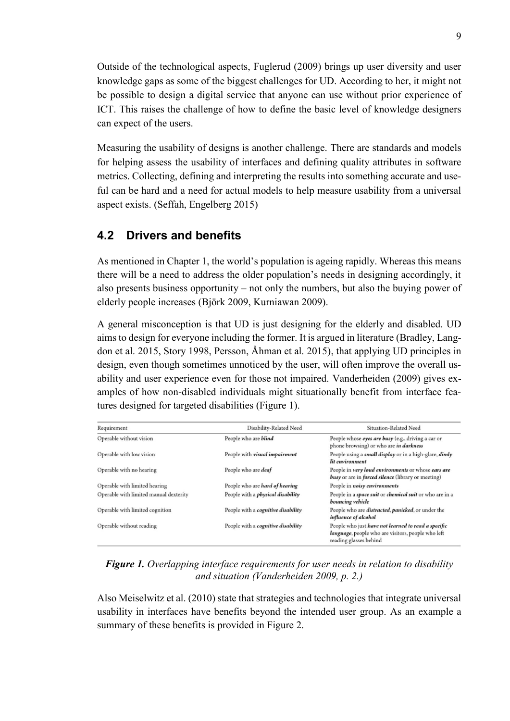Outside of the technological aspects, Fuglerud (2009) brings up user diversity and user knowledge gaps as some of the biggest challenges for UD. According to her, it might not be possible to design a digital service that anyone can use without prior experience of ICT. This raises the challenge of how to define the basic level of knowledge designers can expect of the users.

Measuring the usability of designs is another challenge. There are standards and models for helping assess the usability of interfaces and defining quality attributes in software metrics. Collecting, defining and interpreting the results into something accurate and useful can be hard and a need for actual models to help measure usability from a universal aspect exists. (Seffah, Engelberg 2015)

### <span id="page-14-0"></span>**4.2 Drivers and benefits**

As mentioned in Chapter 1, the world's population is ageing rapidly. Whereas this means there will be a need to address the older population's needs in designing accordingly, it also presents business opportunity – not only the numbers, but also the buying power of elderly people increases (Björk 2009, Kurniawan 2009).

A general misconception is that UD is just designing for the elderly and disabled. UD aims to design for everyone including the former. It is argued in literature (Bradley, Langdon et al. 2015, Story 1998, Persson, Åhman et al. 2015), that applying UD principles in design, even though sometimes unnoticed by the user, will often improve the overall usability and user experience even for those not impaired. Vanderheiden (2009) gives examples of how non-disabled individuals might situationally benefit from interface features designed for targeted disabilities (Figure 1).

| Requirement                            | Disability-Related Need                  | Situation-Related Need                                                                                                              |
|----------------------------------------|------------------------------------------|-------------------------------------------------------------------------------------------------------------------------------------|
| Operable without vision                | People who are blind                     | People whose eyes are busy (e.g., driving a car or<br>phone browsing) or who are <i>in darkness</i>                                 |
| Operable with low vision               | People with visual impairment            | People using a <i>small display</i> or in a high-glare, <i>dimly</i><br>lit environment                                             |
| Operable with no hearing               | People who are <i>deaf</i>               | People in very loud environments or whose ears are<br>busy or are in forced silence (library or meeting)                            |
| Operable with limited hearing          | People who are hard of hearing           | People in noisy environments                                                                                                        |
| Operable with limited manual dexterity | People with a <i>physical disability</i> | People in a <i>space suit</i> or <i>chemical suit</i> or who are in a<br>bouncing vehicle                                           |
| Operable with limited cognition        | People with a cognitive disability       | People who are <i>distracted</i> , <i>panicked</i> , or under the<br>influence of alcohol                                           |
| Operable without reading               | People with a cognitive disability       | People who just have not learned to read a specific<br>language, people who are visitors, people who left<br>reading glasses behind |

*Figure 1. Overlapping interface requirements for user needs in relation to disability and situation (Vanderheiden 2009, p. 2.)*

Also Meiselwitz et al. (2010) state that strategies and technologies that integrate universal usability in interfaces have benefits beyond the intended user group. As an example a summary of these benefits is provided in Figure 2.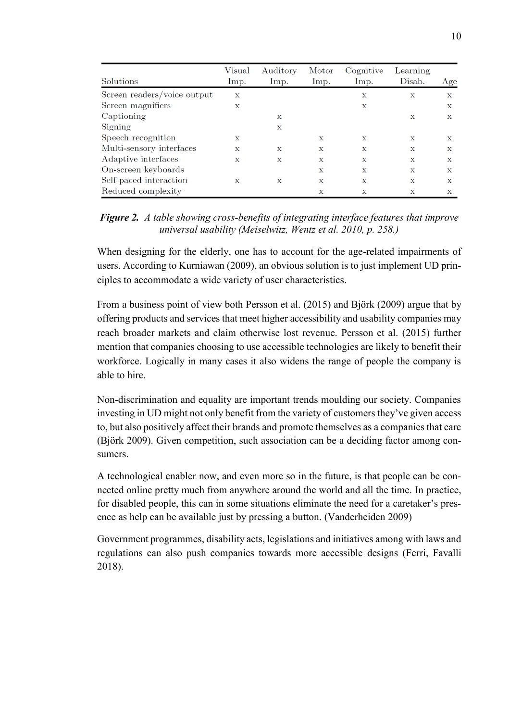| Solutions                   | $V$ isual<br>Imp. | Auditory<br>Imp. | Motor<br>Imp. | Cognitive<br>Imp. | Learning<br>Disab. | Age          |
|-----------------------------|-------------------|------------------|---------------|-------------------|--------------------|--------------|
| Screen readers/voice output | $\mathbf x$       |                  |               | X                 | $\mathbf x$        | $\mathbf x$  |
| Screen magnifiers           | $\mathbf x$       |                  |               | $\mathbf x$       |                    | $\mathbf x$  |
| Captioning                  |                   | X                |               |                   | X                  | $\mathbf x$  |
| Signing                     |                   | $\mathbf x$      |               |                   |                    |              |
| Speech recognition          | X                 |                  | X             | X                 | X                  | $\mathbf{x}$ |
| Multi-sensory interfaces    | $\mathbf x$       | X                | $\mathbf x$   | $\mathbf x$       | X                  | $\mathbf x$  |
| Adaptive interfaces         | $\mathbf{x}$      | $\mathbf x$      | $\mathbf x$   | $\mathbf{x}$      | $\mathbf{x}$       | $\mathbf{x}$ |
| On-screen keyboards         |                   |                  | $\mathbf x$   | $\mathbf x$       | $\mathbf x$        | $\mathbf x$  |
| Self-paced interaction      | X                 | X                | $\mathbf x$   | $\mathbf{x}$      | $\mathbf x$        | $\mathbf x$  |
| Reduced complexity          |                   |                  | X             | $\mathbf x$       | X                  | х            |

*Figure 2. A table showing cross-benefits of integrating interface features that improve universal usability (Meiselwitz, Wentz et al. 2010, p. 258.)*

When designing for the elderly, one has to account for the age-related impairments of users. According to Kurniawan (2009), an obvious solution is to just implement UD principles to accommodate a wide variety of user characteristics.

From a business point of view both Persson et al. (2015) and Björk (2009) argue that by offering products and services that meet higher accessibility and usability companies may reach broader markets and claim otherwise lost revenue. Persson et al. (2015) further mention that companies choosing to use accessible technologies are likely to benefit their workforce. Logically in many cases it also widens the range of people the company is able to hire.

Non-discrimination and equality are important trends moulding our society. Companies investing in UD might not only benefit from the variety of customers they've given access to, but also positively affect their brands and promote themselves as a companies that care (Björk 2009). Given competition, such association can be a deciding factor among consumers.

A technological enabler now, and even more so in the future, is that people can be connected online pretty much from anywhere around the world and all the time. In practice, for disabled people, this can in some situations eliminate the need for a caretaker's presence as help can be available just by pressing a button. (Vanderheiden 2009)

Government programmes, disability acts, legislations and initiatives among with laws and regulations can also push companies towards more accessible designs (Ferri, Favalli 2018).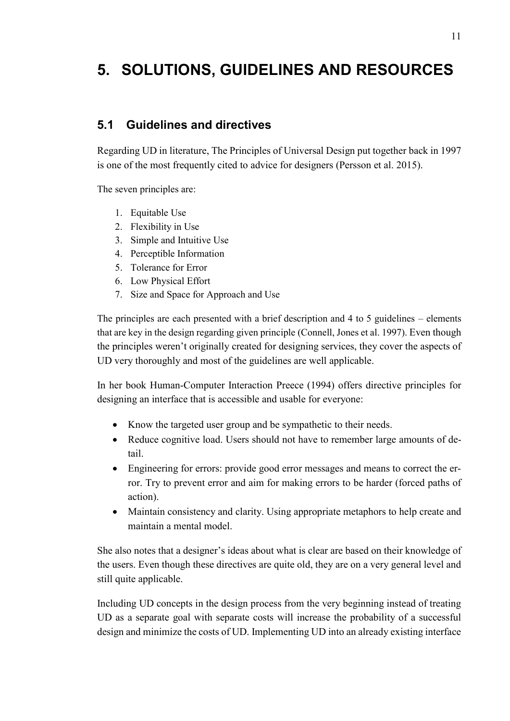# <span id="page-16-0"></span>**5. SOLUTIONS, GUIDELINES AND RESOURCES**

### <span id="page-16-1"></span>**5.1 Guidelines and directives**

Regarding UD in literature, The Principles of Universal Design put together back in 1997 is one of the most frequently cited to advice for designers (Persson et al. 2015).

The seven principles are:

- 1. Equitable Use
- 2. Flexibility in Use
- 3. Simple and Intuitive Use
- 4. Perceptible Information
- 5. Tolerance for Error
- 6. Low Physical Effort
- 7. Size and Space for Approach and Use

The principles are each presented with a brief description and 4 to 5 guidelines – elements that are key in the design regarding given principle (Connell, Jones et al. 1997). Even though the principles weren't originally created for designing services, they cover the aspects of UD very thoroughly and most of the guidelines are well applicable.

In her book Human-Computer Interaction Preece (1994) offers directive principles for designing an interface that is accessible and usable for everyone:

- Know the targeted user group and be sympathetic to their needs.
- Reduce cognitive load. Users should not have to remember large amounts of detail.
- Engineering for errors: provide good error messages and means to correct the error. Try to prevent error and aim for making errors to be harder (forced paths of action).
- Maintain consistency and clarity. Using appropriate metaphors to help create and maintain a mental model.

She also notes that a designer's ideas about what is clear are based on their knowledge of the users. Even though these directives are quite old, they are on a very general level and still quite applicable.

Including UD concepts in the design process from the very beginning instead of treating UD as a separate goal with separate costs will increase the probability of a successful design and minimize the costs of UD. Implementing UD into an already existing interface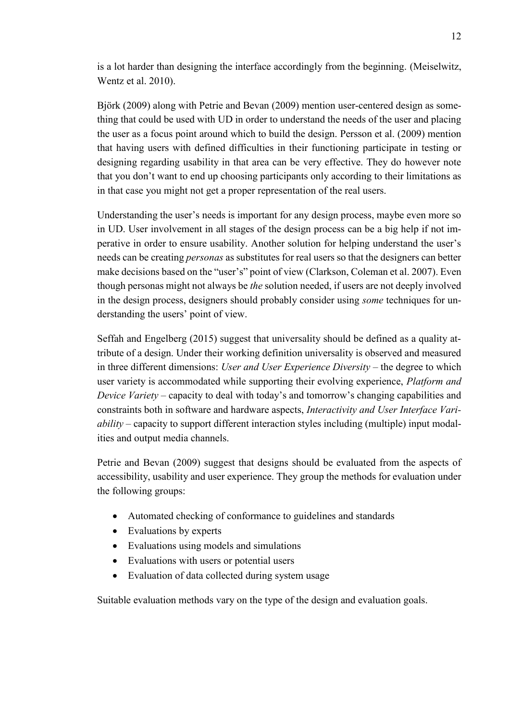is a lot harder than designing the interface accordingly from the beginning. (Meiselwitz, Wentz et al. 2010).

Björk (2009) along with Petrie and Bevan (2009) mention user-centered design as something that could be used with UD in order to understand the needs of the user and placing the user as a focus point around which to build the design. Persson et al. (2009) mention that having users with defined difficulties in their functioning participate in testing or designing regarding usability in that area can be very effective. They do however note that you don't want to end up choosing participants only according to their limitations as in that case you might not get a proper representation of the real users.

Understanding the user's needs is important for any design process, maybe even more so in UD. User involvement in all stages of the design process can be a big help if not imperative in order to ensure usability. Another solution for helping understand the user's needs can be creating *personas* as substitutes for real users so that the designers can better make decisions based on the "user's" point of view (Clarkson, Coleman et al. 2007). Even though personas might not always be *the* solution needed, if users are not deeply involved in the design process, designers should probably consider using *some* techniques for understanding the users' point of view.

Seffah and Engelberg (2015) suggest that universality should be defined as a quality attribute of a design. Under their working definition universality is observed and measured in three different dimensions: *User and User Experience Diversity* – the degree to which user variety is accommodated while supporting their evolving experience, *Platform and Device Variety* – capacity to deal with today's and tomorrow's changing capabilities and constraints both in software and hardware aspects, *Interactivity and User Interface Variability* – capacity to support different interaction styles including (multiple) input modalities and output media channels.

Petrie and Bevan (2009) suggest that designs should be evaluated from the aspects of accessibility, usability and user experience. They group the methods for evaluation under the following groups:

- Automated checking of conformance to guidelines and standards
- Evaluations by experts
- Evaluations using models and simulations
- Evaluations with users or potential users
- Evaluation of data collected during system usage

Suitable evaluation methods vary on the type of the design and evaluation goals.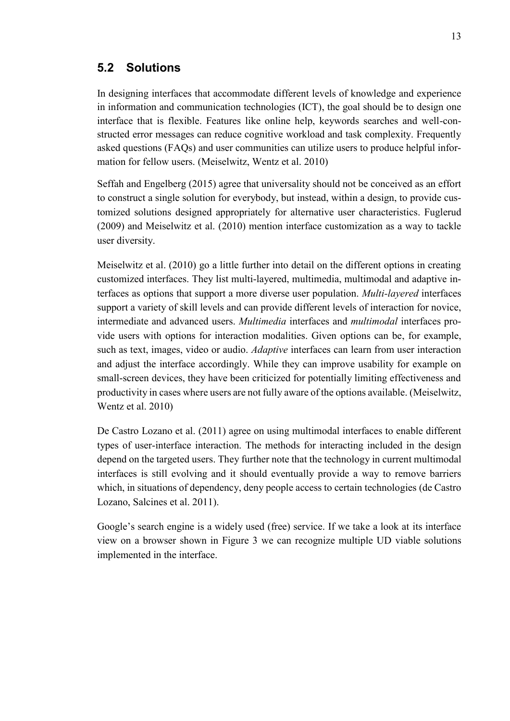#### <span id="page-18-0"></span>**5.2 Solutions**

In designing interfaces that accommodate different levels of knowledge and experience in information and communication technologies (ICT), the goal should be to design one interface that is flexible. Features like online help, keywords searches and well-constructed error messages can reduce cognitive workload and task complexity. Frequently asked questions (FAQs) and user communities can utilize users to produce helpful information for fellow users. (Meiselwitz, Wentz et al. 2010)

Seffah and Engelberg (2015) agree that universality should not be conceived as an effort to construct a single solution for everybody, but instead, within a design, to provide customized solutions designed appropriately for alternative user characteristics. Fuglerud (2009) and Meiselwitz et al. (2010) mention interface customization as a way to tackle user diversity.

Meiselwitz et al. (2010) go a little further into detail on the different options in creating customized interfaces. They list multi-layered, multimedia, multimodal and adaptive interfaces as options that support a more diverse user population. *Multi-layered* interfaces support a variety of skill levels and can provide different levels of interaction for novice, intermediate and advanced users. *Multimedia* interfaces and *multimodal* interfaces provide users with options for interaction modalities. Given options can be, for example, such as text, images, video or audio. *Adaptive* interfaces can learn from user interaction and adjust the interface accordingly. While they can improve usability for example on small-screen devices, they have been criticized for potentially limiting effectiveness and productivity in cases where users are not fully aware of the options available. (Meiselwitz, Wentz et al. 2010)

De Castro Lozano et al. (2011) agree on using multimodal interfaces to enable different types of user-interface interaction. The methods for interacting included in the design depend on the targeted users. They further note that the technology in current multimodal interfaces is still evolving and it should eventually provide a way to remove barriers which, in situations of dependency, deny people access to certain technologies (de Castro Lozano, Salcines et al. 2011).

Google's search engine is a widely used (free) service. If we take a look at its interface view on a browser shown in Figure 3 we can recognize multiple UD viable solutions implemented in the interface.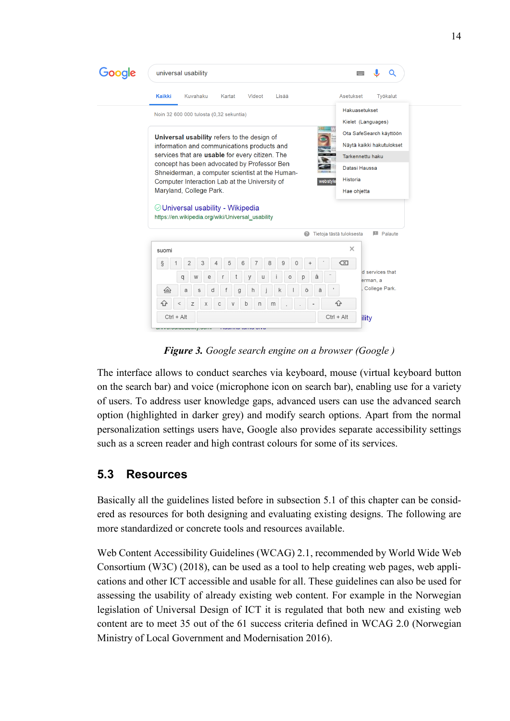| Google | universal usability                                                                                                                                                                                                                                                                                                                                                                | Q                                                                                                                           |  |
|--------|------------------------------------------------------------------------------------------------------------------------------------------------------------------------------------------------------------------------------------------------------------------------------------------------------------------------------------------------------------------------------------|-----------------------------------------------------------------------------------------------------------------------------|--|
|        | <b>Kaikki</b><br>Kuvahaku<br>Kartat<br>Videot<br>Lisää                                                                                                                                                                                                                                                                                                                             | Asetukset<br>Työkalut                                                                                                       |  |
|        | Noin 32 600 000 tulosta (0,32 sekuntia)                                                                                                                                                                                                                                                                                                                                            | Hakuasetukset<br>Kielet (Languages)                                                                                         |  |
|        | Universal usability refers to the design of<br>information and communications products and<br>services that are usable for every citizen. The<br>concept has been advocated by Professor Ben<br>Shneiderman, a computer scientist at the Human-<br>Computer Interaction Lab at the University of<br>webstyle<br>Maryland, College Park.<br>$\odot$ Universal usability - Wikipedia | Ota SafeSearch käyttöön<br>Näytä kaikki hakutulokset<br>Tarkennettu haku<br>Datasi Haussa<br><b>Historia</b><br>Hae ohjetta |  |
|        | https://en.wikipedia.org/wiki/Universal_usability<br>Q                                                                                                                                                                                                                                                                                                                             | Tietoja tästä tuloksesta<br><b>El</b> Palaute                                                                               |  |
|        | suomi<br>3<br>5<br>8<br>9<br>ş<br>2<br>6<br>7<br>0<br>4<br>å<br>W<br>e<br>$\circ$<br>p<br>q<br>y<br>u<br>Ö<br>ä<br>伱<br>a<br>d<br>S<br>g<br>h<br>k<br>⇧<br>Z<br>b<br>X<br>C<br>n<br>V<br>m                                                                                                                                                                                         | $\times$<br>$\overline{X}$<br>d services that<br>erman, a<br>College Park.<br>슌                                             |  |

*Figure 3. Google search engine on a browser (Google )*

The interface allows to conduct searches via keyboard, mouse (virtual keyboard button on the search bar) and voice (microphone icon on search bar), enabling use for a variety of users. To address user knowledge gaps, advanced users can use the advanced search option (highlighted in darker grey) and modify search options. Apart from the normal personalization settings users have, Google also provides separate accessibility settings such as a screen reader and high contrast colours for some of its services.

## <span id="page-19-0"></span>**5.3 Resources**

Basically all the guidelines listed before in subsection 5.1 of this chapter can be considered as resources for both designing and evaluating existing designs. The following are more standardized or concrete tools and resources available.

Web Content Accessibility Guidelines (WCAG) 2.1, recommended by World Wide Web Consortium (W3C) (2018), can be used as a tool to help creating web pages, web applications and other ICT accessible and usable for all. These guidelines can also be used for assessing the usability of already existing web content. For example in the Norwegian legislation of Universal Design of ICT it is regulated that both new and existing web content are to meet 35 out of the 61 success criteria defined in WCAG 2.0 (Norwegian Ministry of Local Government and Modernisation 2016).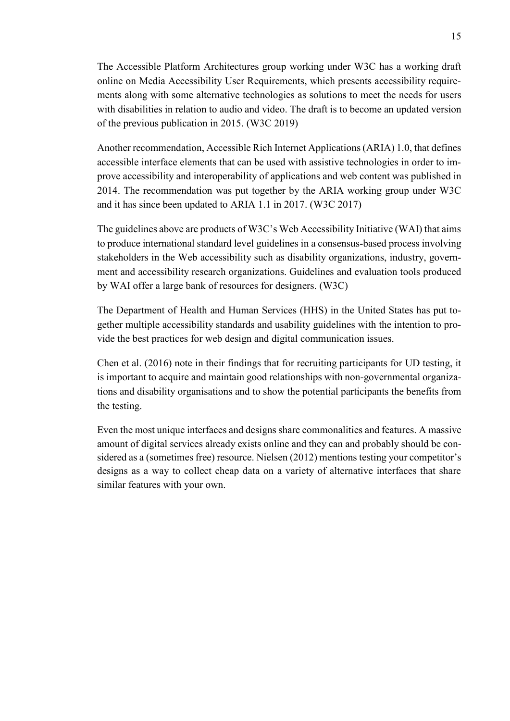The Accessible Platform Architectures group working under W3C has a working draft online on Media Accessibility User Requirements, which presents accessibility requirements along with some alternative technologies as solutions to meet the needs for users with disabilities in relation to audio and video. The draft is to become an updated version of the previous publication in 2015. (W3C 2019)

Another recommendation, Accessible Rich Internet Applications (ARIA) 1.0, that defines accessible interface elements that can be used with assistive technologies in order to improve accessibility and interoperability of applications and web content was published in 2014. The recommendation was put together by the ARIA working group under W3C and it has since been updated to ARIA 1.1 in 2017. (W3C 2017)

The guidelines above are products of W3C's Web Accessibility Initiative (WAI) that aims to produce international standard level guidelines in a consensus-based process involving stakeholders in the Web accessibility such as disability organizations, industry, government and accessibility research organizations. Guidelines and evaluation tools produced by WAI offer a large bank of resources for designers. (W3C)

The Department of Health and Human Services (HHS) in the United States has put together multiple accessibility standards and usability guidelines with the intention to provide the best practices for web design and digital communication issues.

Chen et al. (2016) note in their findings that for recruiting participants for UD testing, it is important to acquire and maintain good relationships with non-governmental organizations and disability organisations and to show the potential participants the benefits from the testing.

Even the most unique interfaces and designs share commonalities and features. A massive amount of digital services already exists online and they can and probably should be considered as a (sometimes free) resource. Nielsen (2012) mentions testing your competitor's designs as a way to collect cheap data on a variety of alternative interfaces that share similar features with your own.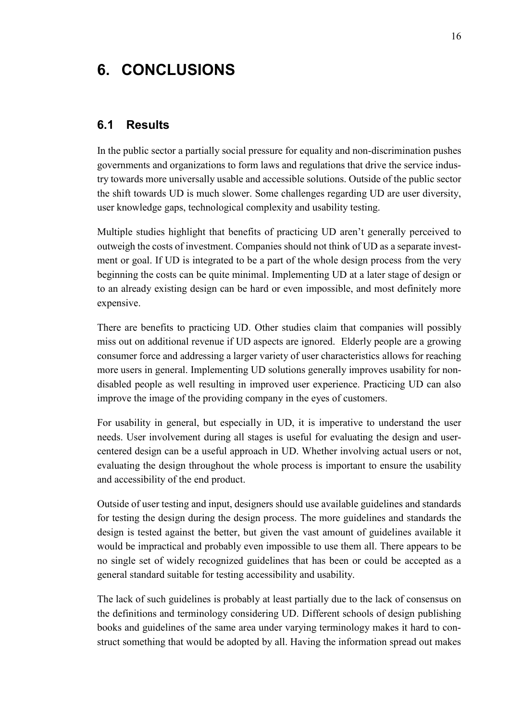# <span id="page-21-0"></span>**6. CONCLUSIONS**

#### <span id="page-21-1"></span>**6.1 Results**

In the public sector a partially social pressure for equality and non-discrimination pushes governments and organizations to form laws and regulations that drive the service industry towards more universally usable and accessible solutions. Outside of the public sector the shift towards UD is much slower. Some challenges regarding UD are user diversity, user knowledge gaps, technological complexity and usability testing.

Multiple studies highlight that benefits of practicing UD aren't generally perceived to outweigh the costs of investment. Companies should not think of UD as a separate investment or goal. If UD is integrated to be a part of the whole design process from the very beginning the costs can be quite minimal. Implementing UD at a later stage of design or to an already existing design can be hard or even impossible, and most definitely more expensive.

There are benefits to practicing UD. Other studies claim that companies will possibly miss out on additional revenue if UD aspects are ignored. Elderly people are a growing consumer force and addressing a larger variety of user characteristics allows for reaching more users in general. Implementing UD solutions generally improves usability for nondisabled people as well resulting in improved user experience. Practicing UD can also improve the image of the providing company in the eyes of customers.

For usability in general, but especially in UD, it is imperative to understand the user needs. User involvement during all stages is useful for evaluating the design and usercentered design can be a useful approach in UD. Whether involving actual users or not, evaluating the design throughout the whole process is important to ensure the usability and accessibility of the end product.

Outside of user testing and input, designers should use available guidelines and standards for testing the design during the design process. The more guidelines and standards the design is tested against the better, but given the vast amount of guidelines available it would be impractical and probably even impossible to use them all. There appears to be no single set of widely recognized guidelines that has been or could be accepted as a general standard suitable for testing accessibility and usability.

The lack of such guidelines is probably at least partially due to the lack of consensus on the definitions and terminology considering UD. Different schools of design publishing books and guidelines of the same area under varying terminology makes it hard to construct something that would be adopted by all. Having the information spread out makes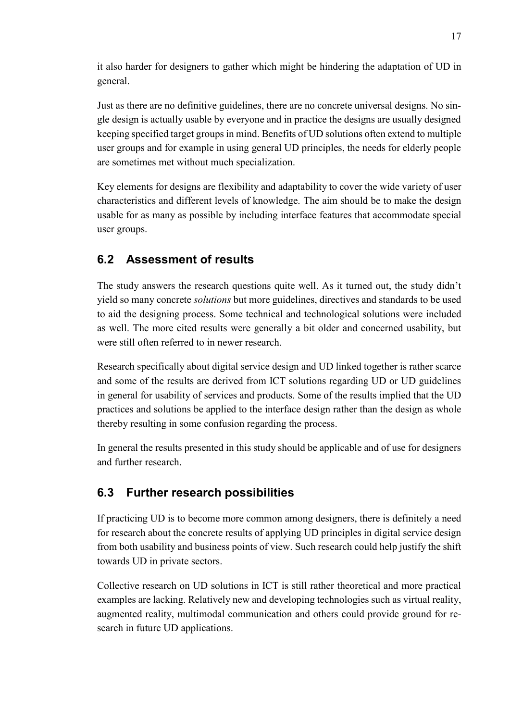it also harder for designers to gather which might be hindering the adaptation of UD in general.

Just as there are no definitive guidelines, there are no concrete universal designs. No single design is actually usable by everyone and in practice the designs are usually designed keeping specified target groups in mind. Benefits of UD solutions often extend to multiple user groups and for example in using general UD principles, the needs for elderly people are sometimes met without much specialization.

Key elements for designs are flexibility and adaptability to cover the wide variety of user characteristics and different levels of knowledge. The aim should be to make the design usable for as many as possible by including interface features that accommodate special user groups.

# <span id="page-22-0"></span>**6.2 Assessment of results**

The study answers the research questions quite well. As it turned out, the study didn't yield so many concrete *solutions* but more guidelines, directives and standards to be used to aid the designing process. Some technical and technological solutions were included as well. The more cited results were generally a bit older and concerned usability, but were still often referred to in newer research.

Research specifically about digital service design and UD linked together is rather scarce and some of the results are derived from ICT solutions regarding UD or UD guidelines in general for usability of services and products. Some of the results implied that the UD practices and solutions be applied to the interface design rather than the design as whole thereby resulting in some confusion regarding the process.

In general the results presented in this study should be applicable and of use for designers and further research.

# <span id="page-22-1"></span>**6.3 Further research possibilities**

If practicing UD is to become more common among designers, there is definitely a need for research about the concrete results of applying UD principles in digital service design from both usability and business points of view. Such research could help justify the shift towards UD in private sectors.

Collective research on UD solutions in ICT is still rather theoretical and more practical examples are lacking. Relatively new and developing technologies such as virtual reality, augmented reality, multimodal communication and others could provide ground for research in future UD applications.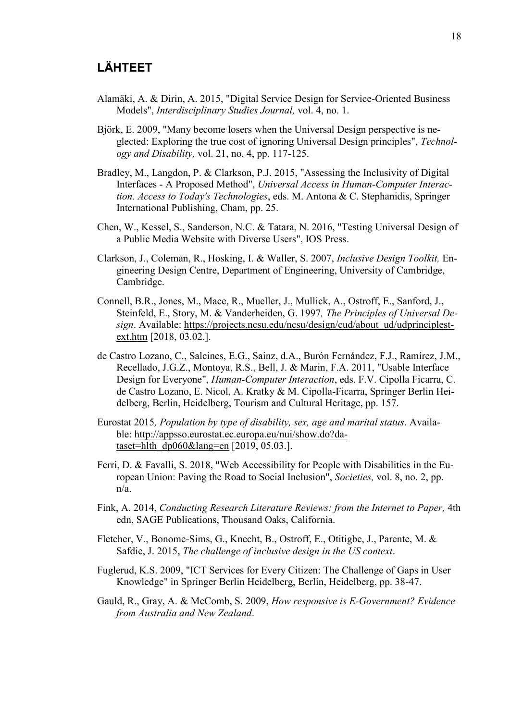### **LÄHTEET**

- Alamäki, A. & Dirin, A. 2015, "Digital Service Design for Service-Oriented Business Models", *Interdisciplinary Studies Journal,* vol. 4, no. 1.
- Björk, E. 2009, "Many become losers when the Universal Design perspective is neglected: Exploring the true cost of ignoring Universal Design principles", *Technology and Disability,* vol. 21, no. 4, pp. 117-125.
- Bradley, M., Langdon, P. & Clarkson, P.J. 2015, "Assessing the Inclusivity of Digital Interfaces - A Proposed Method", *Universal Access in Human-Computer Interaction. Access to Today's Technologies*, eds. M. Antona & C. Stephanidis, Springer International Publishing, Cham, pp. 25.
- Chen, W., Kessel, S., Sanderson, N.C. & Tatara, N. 2016, "Testing Universal Design of a Public Media Website with Diverse Users", IOS Press.
- Clarkson, J., Coleman, R., Hosking, I. & Waller, S. 2007, *Inclusive Design Toolkit,* Engineering Design Centre, Department of Engineering, University of Cambridge, Cambridge.
- Connell, B.R., Jones, M., Mace, R., Mueller, J., Mullick, A., Ostroff, E., Sanford, J., Steinfeld, E., Story, M. & Vanderheiden, G. 1997*, The Principles of Universal Design*. Available: [https://projects.ncsu.edu/ncsu/design/cud/about\\_ud/udprinciplest](https://projects.ncsu.edu/ncsu/design/cud/about_ud/udprinciplestext.htm)[ext.htm](https://projects.ncsu.edu/ncsu/design/cud/about_ud/udprinciplestext.htm) [2018, 03.02.].
- de Castro Lozano, C., Salcines, E.G., Sainz, d.A., Burón Fernández, F.J., Ramírez, J.M., Recellado, J.G.Z., Montoya, R.S., Bell, J. & Marin, F.A. 2011, "Usable Interface Design for Everyone", *Human-Computer Interaction*, eds. F.V. Cipolla Ficarra, C. de Castro Lozano, E. Nicol, A. Kratky & M. Cipolla-Ficarra, Springer Berlin Heidelberg, Berlin, Heidelberg, Tourism and Cultural Heritage, pp. 157.
- Eurostat 2015*, Population by type of disability, sex, age and marital status*. Available: [http://appsso.eurostat.ec.europa.eu/nui/show.do?da](http://appsso.eurostat.ec.europa.eu/nui/show.do?dataset=hlth_dp060&lang=en)[taset=hlth\\_dp060&lang=en](http://appsso.eurostat.ec.europa.eu/nui/show.do?dataset=hlth_dp060&lang=en) [2019, 05.03.].
- Ferri, D. & Favalli, S. 2018, "Web Accessibility for People with Disabilities in the European Union: Paving the Road to Social Inclusion", *Societies,* vol. 8, no. 2, pp. n/a.
- Fink, A. 2014, *Conducting Research Literature Reviews: from the Internet to Paper,* 4th edn, SAGE Publications, Thousand Oaks, California.
- Fletcher, V., Bonome-Sims, G., Knecht, B., Ostroff, E., Otitigbe, J., Parente, M. & Safdie, J. 2015, *The challenge of inclusive design in the US context*.
- Fuglerud, K.S. 2009, "ICT Services for Every Citizen: The Challenge of Gaps in User Knowledge" in Springer Berlin Heidelberg, Berlin, Heidelberg, pp. 38-47.
- Gauld, R., Gray, A. & McComb, S. 2009, *How responsive is E-Government? Evidence from Australia and New Zealand*.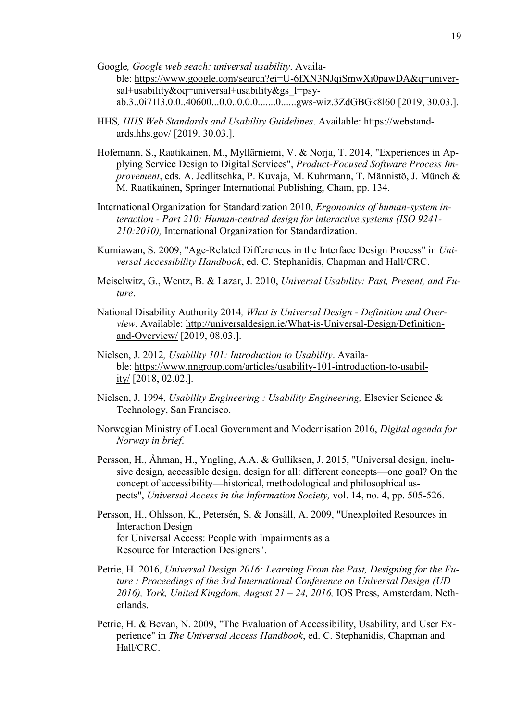- Google*, Google web seach: universal usability*. Available: [https://www.google.com/search?ei=U-6fXN3NJqiSmwXi0pawDA&q=univer](https://www.google.com/search?ei=U-6fXN3NJqiSmwXi0pawDA&q=universal+usability&oq=universal+usability&gs_l=psy-ab.3..0i71l3.0.0..40600...0.0..0.0.0.......0......gws-wiz.3ZdGBGk8l60)[sal+usability&oq=universal+usability&gs\\_l=psy](https://www.google.com/search?ei=U-6fXN3NJqiSmwXi0pawDA&q=universal+usability&oq=universal+usability&gs_l=psy-ab.3..0i71l3.0.0..40600...0.0..0.0.0.......0......gws-wiz.3ZdGBGk8l60)[ab.3..0i71l3.0.0..40600...0.0..0.0.0.......0......gws-wiz.3ZdGBGk8l60](https://www.google.com/search?ei=U-6fXN3NJqiSmwXi0pawDA&q=universal+usability&oq=universal+usability&gs_l=psy-ab.3..0i71l3.0.0..40600...0.0..0.0.0.......0......gws-wiz.3ZdGBGk8l60) [2019, 30.03.].
- HHS*, HHS Web Standards and Usability Guidelines*. Available: [https://webstand](https://webstandards.hhs.gov/)[ards.hhs.gov/](https://webstandards.hhs.gov/) [2019, 30.03.].
- Hofemann, S., Raatikainen, M., Myllärniemi, V. & Norja, T. 2014, "Experiences in Applying Service Design to Digital Services", *Product-Focused Software Process Improvement*, eds. A. Jedlitschka, P. Kuvaja, M. Kuhrmann, T. Männistö, J. Münch & M. Raatikainen, Springer International Publishing, Cham, pp. 134.
- International Organization for Standardization 2010, *Ergonomics of human-system interaction - Part 210: Human-centred design for interactive systems (ISO 9241- 210:2010),* International Organization for Standardization.
- Kurniawan, S. 2009, "Age-Related Differences in the Interface Design Process" in *Universal Accessibility Handbook*, ed. C. Stephanidis, Chapman and Hall/CRC.
- Meiselwitz, G., Wentz, B. & Lazar, J. 2010, *Universal Usability: Past, Present, and Future*.
- National Disability Authority 2014*, What is Universal Design - Definition and Overview*. Available: [http://universaldesign.ie/What-is-Universal-Design/Definition](http://universaldesign.ie/What-is-Universal-Design/Definition-and-Overview/)[and-Overview/](http://universaldesign.ie/What-is-Universal-Design/Definition-and-Overview/) [2019, 08.03.].
- Nielsen, J. 2012*, Usability 101: Introduction to Usability*. Available: [https://www.nngroup.com/articles/usability-101-introduction-to-usabil](https://www.nngroup.com/articles/usability-101-introduction-to-usability/)[ity/](https://www.nngroup.com/articles/usability-101-introduction-to-usability/) [2018, 02.02.].
- Nielsen, J. 1994, *Usability Engineering : Usability Engineering,* Elsevier Science & Technology, San Francisco.
- Norwegian Ministry of Local Government and Modernisation 2016, *Digital agenda for Norway in brief*.
- Persson, H., Åhman, H., Yngling, A.A. & Gulliksen, J. 2015, "Universal design, inclusive design, accessible design, design for all: different concepts—one goal? On the concept of accessibility—historical, methodological and philosophical aspects", *Universal Access in the Information Society,* vol. 14, no. 4, pp. 505-526.
- Persson, H., Ohlsson, K., Petersén, S. & Jonsäll, A. 2009, "Unexploited Resources in Interaction Design for Universal Access: People with Impairments as a Resource for Interaction Designers".
- Petrie, H. 2016, *Universal Design 2016: Learning From the Past, Designing for the Future : Proceedings of the 3rd International Conference on Universal Design (UD 2016), York, United Kingdom, August 21 – 24, 2016,* IOS Press, Amsterdam, Netherlands.
- Petrie, H. & Bevan, N. 2009, "The Evaluation of Accessibility, Usability, and User Experience" in *The Universal Access Handbook*, ed. C. Stephanidis, Chapman and Hall/CRC.